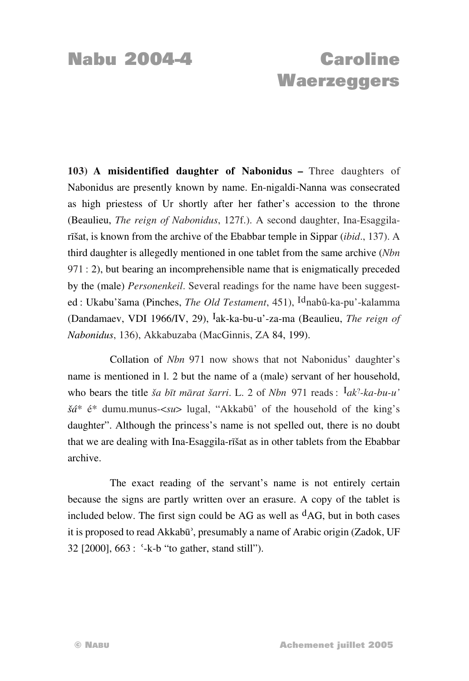## **Nabu 2004-4 Caroline Waerzeggers**

**103) A misidentified daughter of Nabonidus –** Three daughters of Nabonidus are presently known by name. En-nigaldi-Nanna was consecrated as high priestess of Ur shortly after her father's accession to the throne (Beaulieu, *The reign of Nabonidus*, 127f.). A second daughter, Ina-Esaggilarīšat, is known from the archive of the Ebabbar temple in Sippar *(ibid.*, 137). A third daughter is allegedly mentioned in one tablet from the same archive (*Nbn* 971: 2), but bearing an incomprehensible name that is enigmatically preceded by the (male) *Personenkeil*. Several readings for the name have been suggested: Ukabu'šama (Pinches, *The Old Testament*, 451), <sup>Id</sup>nabû-ka-pu'-kalamma (Dandamaev, VDI 1966/IV, 29), µak-ka-bu-u'-za-ma (Beaulieu, *The reign of Nabonidus*, 136), Akkabuzaba (MacGinnis, ZA 84, 199).

Collation of *Nbn* 971 now shows that not Nabonidus' daughter's name is mentioned in l. 2 but the name of a (male) servant of her household, who bears the title *ša bīt mārat šarri*. L. 2 of *Nbn* 971 reads: <sup>I</sup>ak<sup>2</sup>-ka-bu-u'  $\check{g}d^*$  é<sup>\*</sup> dumu.munus- $\langle su \rangle$  lugal, "Akkabū" of the household of the king's daughter". Although the princess's name is not spelled out, there is no doubt that we are dealing with Ina-Esaggila-rīšat as in other tablets from the Ebabbar archive.

The exact reading of the servant's name is not entirely certain because the signs are partly written over an erasure. A copy of the tablet is included below. The first sign could be AG as well as  $<sup>d</sup>AG$ , but in both cases</sup> it is proposed to read Akkabū', presumably a name of Arabic origin (Zadok, UF 32  $[2000]$ ,  $663$ : '-k-b "to gather, stand still").